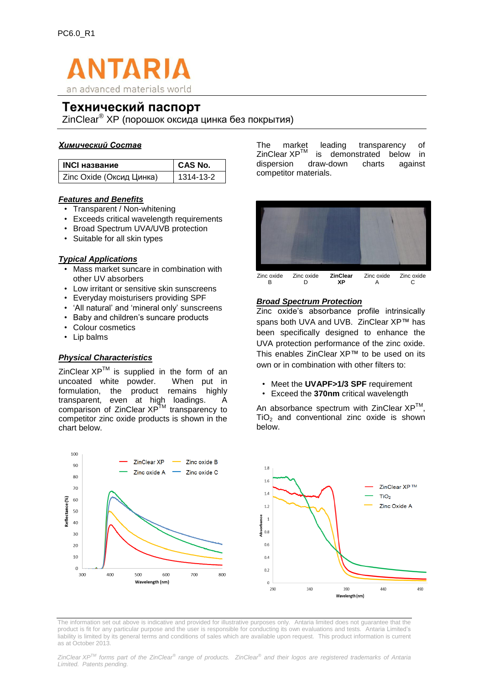

# **Технический паспорт**

ZinClear® XP (порошок оксида цинка без покрытия)

# *Химический Состав*

| <b>INCI название</b>     | CAS No.   |
|--------------------------|-----------|
| Zinc Oxide (Оксид Цинка) | 1314-13-2 |

# *Характерные черты и Преимущества*

- Прозрачность / Без белого следа
- Превосходит требования к критичексой длине волны
- Широкая спектральная защита УФА / УФВ
- Подходит для всех типов кожи

### *Основное Применение*

- В комбинации с другими УФ-фильтрами косметика сегмента масс-маркет
- Защитны средства для чувствительной кожи
- Ежедневный уход за кожей с SPF
- Солнцезащитные средства 'натуральные' и 'только с минеральными фильтрами'
- Детские солнцезащитные средства
- Декоративная косметика
- Бальзамы для губ

# *Физические Характеристики*

ZinClear XP™

Сравнение<br>ХР<sup>ТМ</sup>С прозрачности ZinClear  $XP^{\text{IM}}$  с конкурентными продуктами (оксид цинка) приведено на графике ниже.

порошок без покрытия. При добавление в

 $\Delta$ исперсии ZinClear  $\mathsf{XP}^{\mathsf{TM}}$  демонстрирует значительную прозрачность по сравнению с аналогичными продуктами конкурентов (см. фото и диаграммы ниже).



### *Широкий спектр защиты*

Zinc oxide's absorbance profile intrinsically spans both UVA and UVB. ZinClear XP™ has been specifically designed to enhance the UVA protection performance of the zinc oxide. This enables ZinClear XP™ to be used on its own or in combination with other filters to:

- Meet the **UVAPF>1/3 SPF** requirement
- Exceed the **370nm** critical wavelength

An absorbance spectrum with ZinClear  $XP^{TM}$ ,  $TiO<sub>2</sub>$  and conventional zinc oxide is shown below.



The information set out above is indicative and provided for illustrative purposes only. Antaria limited does not guarantee that the product is fit for any particular purpose and the user is responsible for conducting its own evaluations and tests. Antaria Limited's liability is limited by its general terms and conditions of sales which are available upon request. This product information is current as at October 2013.

*ZinClear XPTM forms part of the ZinClear® range of products. ZinClear® and their logos are registered trademarks of Antaria Limited. Patents pending.*